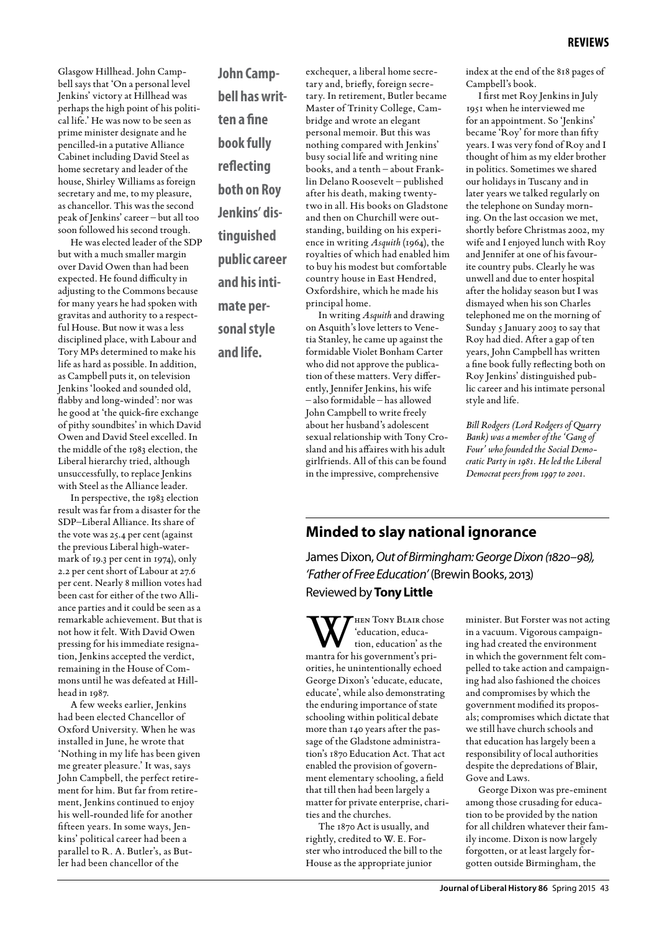Glasgow Hillhead. John Campbell says that 'On a personal level Jenkins' victory at Hillhead was perhaps the high point of his political life.' He was now to be seen as prime minister designate and he pencilled-in a putative Alliance Cabinet including David Steel as home secretary and leader of the house, Shirley Williams as foreign secretary and me, to my pleasure, as chancellor. This was the second peak of Jenkins' career – but all too soon followed his second trough.

He was elected leader of the SDP but with a much smaller margin over David Owen than had been expected. He found difficulty in adjusting to the Commons because for many years he had spoken with gravitas and authority to a respectful House. But now it was a less disciplined place, with Labour and Tory MPs determined to make his life as hard as possible. In addition, as Campbell puts it, on television Jenkins 'looked and sounded old, flabby and long-winded': nor was he good at 'the quick-fire exchange of pithy soundbites' in which David Owen and David Steel excelled. In the middle of the 1983 election, the Liberal hierarchy tried, although unsuccessfully, to replace Jenkins with Steel as the Alliance leader.

In perspective, the 1983 election result was far from a disaster for the SDP–Liberal Alliance. Its share of the vote was 25.4 per cent (against the previous Liberal high-watermark of 19.3 per cent in 1974), only 2.2 per cent short of Labour at 27.6 per cent. Nearly 8 million votes had been cast for either of the two Alliance parties and it could be seen as a remarkable achievement. But that is not how it felt. With David Owen pressing for his immediate resignation, Jenkins accepted the verdict, remaining in the House of Commons until he was defeated at Hillhead in 1987.

A few weeks earlier, Jenkins had been elected Chancellor of Oxford University. When he was installed in June, he wrote that 'Nothing in my life has been given me greater pleasure.' It was, says John Campbell, the perfect retirement for him. But far from retirement, Jenkins continued to enjoy his well-rounded life for another fifteen years. In some ways, Jenkins' political career had been a parallel to R. A. Butler's, as Butler had been chancellor of the

**John Campbell has written a fine book fully reflecting both on Roy Jenkins' distinguished public career and his intimate personal style and life.**

exchequer, a liberal home secretary and, briefly, foreign secretary. In retirement, Butler became Master of Trinity College, Cambridge and wrote an elegant personal memoir. But this was nothing compared with Jenkins' busy social life and writing nine books, and a tenth – about Franklin Delano Roosevelt – published after his death, making twentytwo in all. His books on Gladstone and then on Churchill were outstanding, building on his experience in writing *Asquith* (1964), the royalties of which had enabled him to buy his modest but comfortable country house in East Hendred, Oxfordshire, which he made his principal home. In writing *Asquith* and drawing

on Asquith's love letters to Venetia Stanley, he came up against the formidable Violet Bonham Carter who did not approve the publication of these matters. Very differently, Jennifer Jenkins, his wife – also formidable – has allowed John Campbell to write freely about her husband's adolescent sexual relationship with Tony Crosland and his affaires with his adult girlfriends. All of this can be found in the impressive, comprehensive

index at the end of the 818 pages of Campbell's book.

I first met Roy Jenkins in July 1951 when he interviewed me for an appointment. So 'Jenkins' became 'Roy' for more than fifty years. I was very fond of Roy and I thought of him as my elder brother in politics. Sometimes we shared our holidays in Tuscany and in later years we talked regularly on the telephone on Sunday morning. On the last occasion we met, shortly before Christmas 2002, my wife and I enjoyed lunch with Roy and Jennifer at one of his favourite country pubs. Clearly he was unwell and due to enter hospital after the holiday season but I was dismayed when his son Charles telephoned me on the morning of Sunday 5 January 2003 to say that Roy had died. After a gap of ten years, John Campbell has written a fine book fully reflecting both on Roy Jenkins' distinguished public career and his intimate personal style and life.

*Bill Rodgers (Lord Rodgers of Quarry Bank) was a member of the 'Gang of Four' who founded the Social Democratic Party in 1981. He led the Liberal Democrat peers from 1997 to 2001.*

## **Minded to slay national ignorance**

James Dixon, *Out of Birmingham: George Dixon (1820–98), 'Father of Free Education'* (Brewin Books, 2013) Reviewed by **Tony Little**

W HEN TONY BLAIR chose<br>
tion, education' as the<br>
mantra for his government's pri-'education, educamantra for his government's priorities, he unintentionally echoed George Dixon's 'educate, educate, educate', while also demonstrating the enduring importance of state schooling within political debate more than 140 years after the passage of the Gladstone administration's 1870 Education Act. That act enabled the provision of government elementary schooling, a field that till then had been largely a matter for private enterprise, charities and the churches.

The 1870 Act is usually, and rightly, credited to W. E. Forster who introduced the bill to the House as the appropriate junior

minister. But Forster was not acting in a vacuum. Vigorous campaigning had created the environment in which the government felt compelled to take action and campaigning had also fashioned the choices and compromises by which the government modified its proposals; compromises which dictate that we still have church schools and that education has largely been a responsibility of local authorities despite the depredations of Blair, Gove and Laws.

George Dixon was pre-eminent among those crusading for education to be provided by the nation for all children whatever their family income. Dixon is now largely forgotten, or at least largely forgotten outside Birmingham, the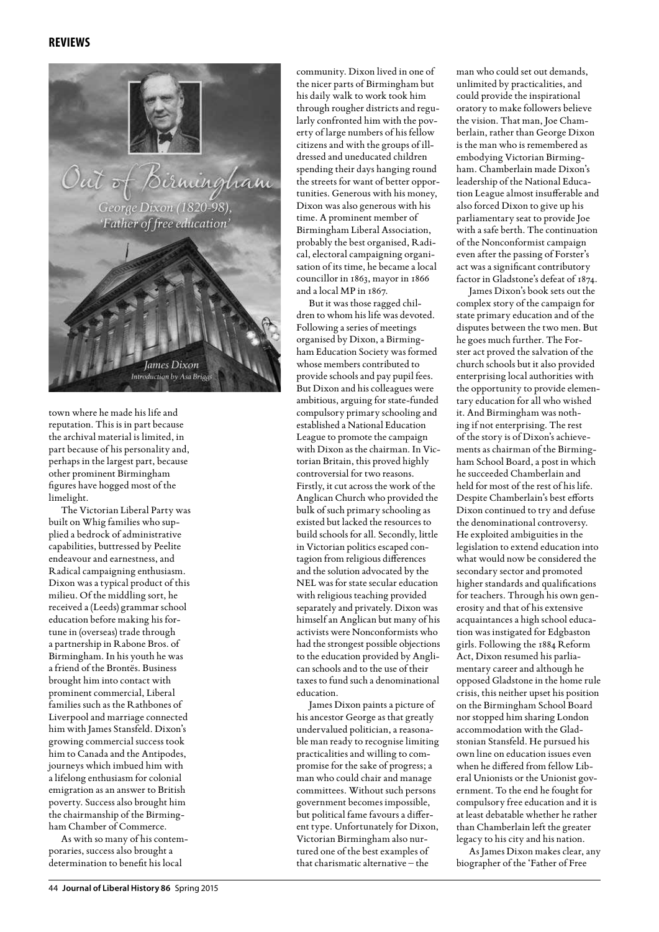

town where he made his life and reputation. This is in part because the archival material is limited, in part because of his personality and, perhaps in the largest part, because other prominent Birmingham figures have hogged most of the limelight.

The Victorian Liberal Party was built on Whig families who supplied a bedrock of administrative capabilities, buttressed by Peelite endeavour and earnestness, and Radical campaigning enthusiasm. Dixon was a typical product of this milieu. Of the middling sort, he received a (Leeds) grammar school education before making his fortune in (overseas) trade through a partnership in Rabone Bros. of Birmingham. In his youth he was a friend of the Brontës. Business brought him into contact with prominent commercial, Liberal families such as the Rathbones of Liverpool and marriage connected him with James Stansfeld. Dixon's growing commercial success took him to Canada and the Antipodes, journeys which imbued him with a lifelong enthusiasm for colonial emigration as an answer to British poverty. Success also brought him the chairmanship of the Birmingham Chamber of Commerce.

As with so many of his contemporaries, success also brought a determination to benefit his local

community. Dixon lived in one of the nicer parts of Birmingham but his daily walk to work took him through rougher districts and regularly confronted him with the poverty of large numbers of his fellow citizens and with the groups of illdressed and uneducated children spending their days hanging round the streets for want of better opportunities. Generous with his money, Dixon was also generous with his time. A prominent member of Birmingham Liberal Association, probably the best organised, Radical, electoral campaigning organisation of its time, he became a local councillor in 1863, mayor in 1866 and a local MP in 1867.

But it was those ragged children to whom his life was devoted. Following a series of meetings organised by Dixon, a Birmingham Education Society was formed whose members contributed to provide schools and pay pupil fees. But Dixon and his colleagues were ambitious, arguing for state-funded compulsory primary schooling and established a National Education League to promote the campaign with Dixon as the chairman. In Victorian Britain, this proved highly controversial for two reasons. Firstly, it cut across the work of the Anglican Church who provided the bulk of such primary schooling as existed but lacked the resources to build schools for all. Secondly, little in Victorian politics escaped contagion from religious differences and the solution advocated by the NEL was for state secular education with religious teaching provided separately and privately. Dixon was himself an Anglican but many of his activists were Nonconformists who had the strongest possible objections to the education provided by Anglican schools and to the use of their taxes to fund such a denominational education.

James Dixon paints a picture of his ancestor George as that greatly undervalued politician, a reasonable man ready to recognise limiting practicalities and willing to compromise for the sake of progress; a man who could chair and manage committees. Without such persons government becomes impossible, but political fame favours a different type. Unfortunately for Dixon, Victorian Birmingham also nurtured one of the best examples of that charismatic alternative – the

man who could set out demands, unlimited by practicalities, and could provide the inspirational oratory to make followers believe the vision. That man, Joe Chamberlain, rather than George Dixon is the man who is remembered as embodying Victorian Birmingham. Chamberlain made Dixon's leadership of the National Education League almost insufferable and also forced Dixon to give up his parliamentary seat to provide Joe with a safe berth. The continuation of the Nonconformist campaign even after the passing of Forster's act was a significant contributory factor in Gladstone's defeat of 1874.

James Dixon's book sets out the complex story of the campaign for state primary education and of the disputes between the two men. But he goes much further. The Forster act proved the salvation of the church schools but it also provided enterprising local authorities with the opportunity to provide elementary education for all who wished it. And Birmingham was nothing if not enterprising. The rest of the story is of Dixon's achievements as chairman of the Birmingham School Board, a post in which he succeeded Chamberlain and held for most of the rest of his life. Despite Chamberlain's best efforts Dixon continued to try and defuse the denominational controversy. He exploited ambiguities in the legislation to extend education into what would now be considered the secondary sector and promoted higher standards and qualifications for teachers. Through his own generosity and that of his extensive acquaintances a high school education was instigated for Edgbaston girls. Following the 1884 Reform Act, Dixon resumed his parliamentary career and although he opposed Gladstone in the home rule crisis, this neither upset his position on the Birmingham School Board nor stopped him sharing London accommodation with the Gladstonian Stansfeld. He pursued his own line on education issues even when he differed from fellow Liberal Unionists or the Unionist government. To the end he fought for compulsory free education and it is at least debatable whether he rather than Chamberlain left the greater legacy to his city and his nation.

As James Dixon makes clear, any biographer of the 'Father of Free